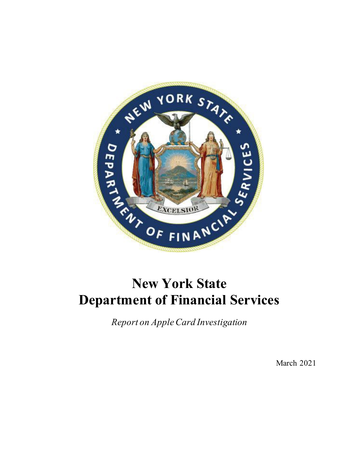

# **New York State Department of Financial Services**

*Report on Apple Card Investigation*

March 2021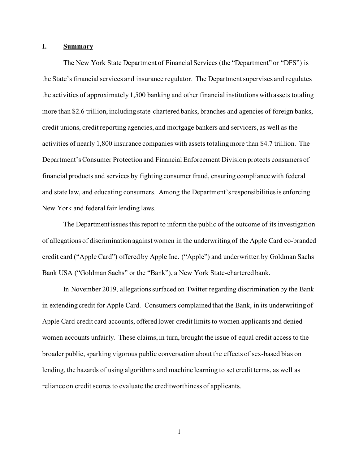# **I. Summary**

The New York State Department of Financial Services (the "Department" or "DFS") is the State's financial services and insurance regulator. The Departmentsupervises and regulates the activities of approximately 1,500 banking and other financial institutions with assets totaling more than \$2.6 trillion, including state-chartered banks, branches and agencies of foreign banks, credit unions, credit reporting agencies, and mortgage bankers and servicers, as well as the activities of nearly 1,800 insurance companies with assets totaling more than \$4.7 trillion. The Department's Consumer Protection and Financial Enforcement Division protects consumers of financial products and services by fighting consumer fraud, ensuring compliance with federal and state law, and educating consumers. Among the Department's responsibilities is enforcing New York and federal fair lending laws.

The Department issues this report to inform the public of the outcome of its investigation of allegations of discrimination against women in the underwriting of the Apple Card co-branded credit card ("Apple Card") offered by Apple Inc. ("Apple") and underwritten by Goldman Sachs Bank USA ("Goldman Sachs" or the "Bank"), a New York State-chartered bank.

In November 2019, allegations surfaced on Twitter regarding discrimination by the Bank in extending credit for Apple Card. Consumers complained that the Bank, in its underwriting of Apple Card credit card accounts, offered lower credit limits to women applicants and denied women accounts unfairly. These claims, in turn, brought the issue of equal credit access to the broader public, sparking vigorous public conversation about the effects of sex-based bias on lending, the hazards of using algorithms and machine learning to set credit terms, as well as reliance on credit scores to evaluate the creditworthiness of applicants.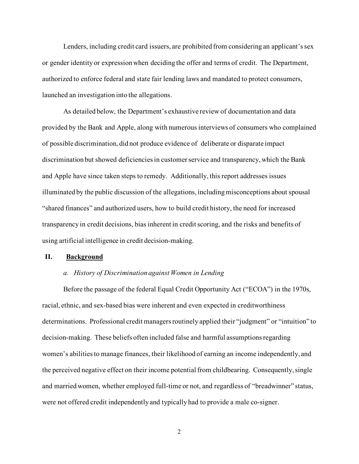Lenders, including credit card issuers, are prohibited from considering an applicant's sex or gender identity or expression when deciding the offer and terms of credit. The Department, authorized to enforce federal and state fair lending laws and mandated to protect consumers, launched an investigation into the allegations.

As detailed below, the Department's exhaustive review of documentation and data provided by the Bank and Apple, along with numerous interviews of consumers who complained of possible discrimination, did not produce evidence of deliberate or disparate impact discrimination but showed deficiencies in customer service and transparency, which the Bank and Apple have since taken steps to remedy. Additionally, this report addresses issues illuminated by the public discussion of the allegations, including misconceptions about spousal "shared finances" and authorized users, how to build credit history, the need for increased transparency in credit decisions, bias inherent in credit scoring, and the risks and benefits of using artificial intelligence in credit decision-making.

# **II. Background**

# *a. History of Discrimination against Women in Lending*

Before the passage of the federal Equal Credit Opportunity Act ("ECOA") in the 1970s, racial, ethnic, and sex-based bias were inherent and even expected in creditworthiness determinations. Professional credit managers routinely applied their "judgment" or "intuition" to decision-making. These beliefs often included false and harmful assumptions regarding women's abilitiesto manage finances, their likelihood of earning an income independently, and the perceived negative effect on their income potential from childbearing. Consequently, single and married women, whether employed full-time or not, and regardless of "breadwinner" status, were not offered credit independently and typically had to provide a male co-signer.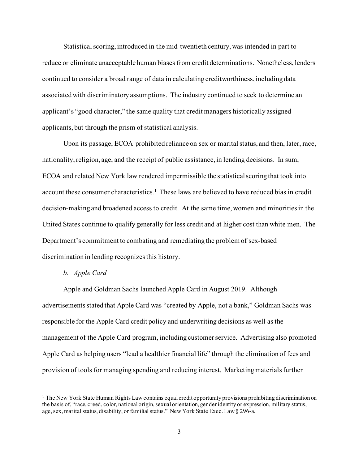Statistical scoring, introduced in the mid-twentieth century, was intended in part to reduce or eliminate unacceptable human biases from credit determinations. Nonetheless, lenders continued to consider a broad range of data in calculating creditworthiness, including data associated with discriminatory assumptions. The industry continued to seek to determine an applicant's "good character," the same quality that credit managers historically assigned applicants, but through the prism of statistical analysis.

Upon its passage, ECOA prohibited reliance on sex or marital status, and then, later, race, nationality, religion, age, and the receipt of public assistance, in lending decisions. In sum, ECOA and related New York law rendered impermissible the statistical scoring that took into account these consumer characteristics.<sup>[1](#page-3-0)</sup> These laws are believed to have reduced bias in credit decision-making and broadened access to credit. At the same time, women and minorities in the United States continue to qualify generally for less credit and at higher cost than white men. The Department's commitment to combating and remediating the problem of sex-based discrimination in lending recognizes this history.

# *b. Apple Card*

Apple and Goldman Sachs launched Apple Card in August 2019. Although advertisements stated that Apple Card was "created by Apple, not a bank," Goldman Sachs was responsible for the Apple Card credit policy and underwriting decisions as well as the management of the Apple Card program, including customer service. Advertising also promoted Apple Card as helping users "lead a healthier financial life" through the elimination of fees and provision of tools for managing spending and reducing interest. Marketing materials further

<span id="page-3-0"></span><sup>&</sup>lt;sup>1</sup> The New York State Human Rights Law contains equal credit opportunity provisions prohibiting discrimination on the basis of, "race, creed, color, national origin, sexual orientation, gender identity or expression, military status, age, sex, marital status, disability, or familial status." New York State Exec. Law § 296-a.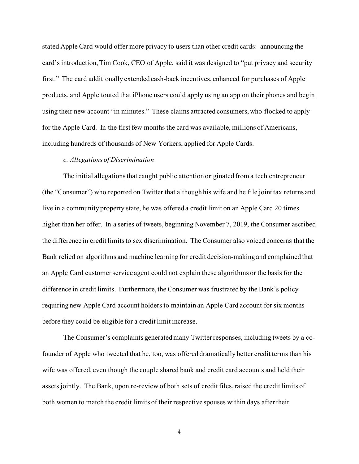stated Apple Card would offer more privacy to users than other credit cards: announcing the card's introduction, Tim Cook, CEO of Apple, said it was designed to "put privacy and security first." The card additionally extended cash-back incentives, enhanced for purchases of Apple products, and Apple touted that iPhone users could apply using an app on their phones and begin using their new account "in minutes." These claims attracted consumers, who flocked to apply for the Apple Card. In the first few months the card was available, millions of Americans, including hundreds of thousands of New Yorkers, applied for Apple Cards.

# *c. Allegations of Discrimination*

The initial allegations that caught public attention originated from a tech entrepreneur (the "Consumer") who reported on Twitter that although his wife and he file joint tax returns and live in a community property state, he was offered a credit limit on an Apple Card 20 times higher than her offer. In a series of tweets, beginning November 7, 2019, the Consumer ascribed the difference in credit limits to sex discrimination. The Consumer also voiced concerns that the Bank relied on algorithms and machine learning for credit decision-making and complained that an Apple Card customer service agent could not explain these algorithms or the basis for the difference in credit limits. Furthermore, the Consumer was frustrated by the Bank's policy requiring new Apple Card account holders to maintain an Apple Card account for six months before they could be eligible for a credit limit increase.

The Consumer's complaints generated many Twitter responses, including tweets by a cofounder of Apple who tweeted that he, too, was offered dramatically better credit terms than his wife was offered, even though the couple shared bank and credit card accounts and held their assets jointly. The Bank, upon re-review of both sets of credit files, raised the credit limits of both women to match the credit limits of their respective spouses within days after their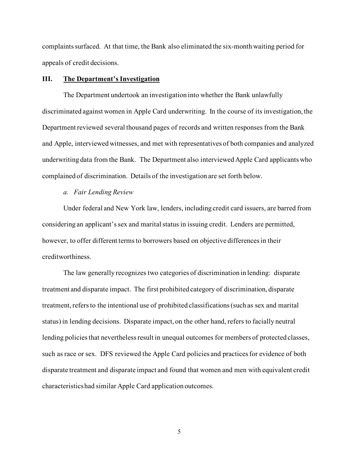complaints surfaced. At that time, the Bank also eliminated the six-month waiting period for appeals of credit decisions.

### **III. The Department's Investigation**

The Department undertook an investigation into whether the Bank unlawfully discriminated against women in Apple Card underwriting. In the course of its investigation, the Department reviewed several thousand pages of records and written responses from the Bank and Apple, interviewed witnesses, and met with representatives of both companies and analyzed underwriting data from the Bank. The Department also interviewed Apple Card applicants who complained of discrimination. Details of the investigation are set forth below.

#### *a. Fair Lending Review*

Under federal and New York law, lenders, including credit card issuers, are barred from considering an applicant's sex and marital status in issuing credit. Lenders are permitted, however, to offer different termsto borrowers based on objective differencesin their creditworthiness.

The law generally recognizes two categories of discrimination in lending: disparate treatment and disparate impact. The first prohibited category of discrimination, disparate treatment, refers to the intentional use of prohibited classifications (such as sex and marital status) in lending decisions. Disparate impact, on the other hand, refers to facially neutral lending policies that nevertheless result in unequal outcomes for members of protected classes, such as race or sex. DFS reviewed the Apple Card policies and practices for evidence of both disparate treatment and disparate impact and found that women and men with equivalent credit characteristics had similar Apple Card application outcomes.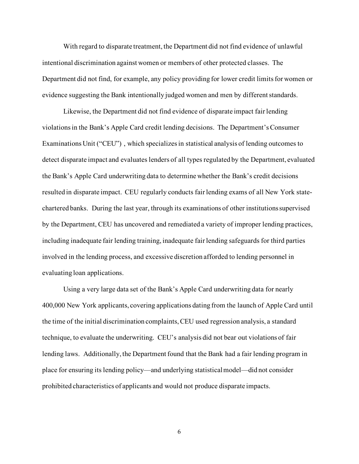With regard to disparate treatment, the Department did not find evidence of unlawful intentional discrimination against women or members of other protected classes. The Department did not find, for example, any policy providing for lower credit limits for women or evidence suggesting the Bank intentionally judged women and men by different standards.

Likewise, the Department did not find evidence of disparate impact fair lending violations in the Bank's Apple Card credit lending decisions. The Department's Consumer Examinations Unit ("CEU") , which specializes in statistical analysis of lending outcomes to detect disparate impact and evaluates lenders of all types regulated by the Department, evaluated the Bank's Apple Card underwriting data to determine whether the Bank's credit decisions resulted in disparate impact. CEU regularly conducts fair lending exams of all New York statechartered banks. During the last year, through its examinations of other institutions supervised by the Department, CEU has uncovered and remediated a variety of improper lending practices, including inadequate fair lending training, inadequate fair lending safeguards for third parties involved in the lending process, and excessive discretion afforded to lending personnel in evaluating loan applications.

Using a very large data set of the Bank's Apple Card underwriting data for nearly 400,000 New York applicants, covering applications dating from the launch of Apple Card until the time of the initial discrimination complaints, CEU used regression analysis, a standard technique, to evaluate the underwriting. CEU's analysis did not bear out violations of fair lending laws. Additionally, the Department found that the Bank had a fair lending program in place for ensuring its lending policy—and underlying statistical model—did not consider prohibited characteristics of applicants and would not produce disparate impacts.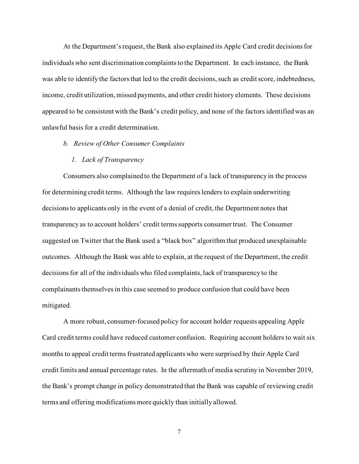At the Department's request, the Bank also explained its Apple Card credit decisions for individuals who sent discrimination complaints to the Department. In each instance, the Bank was able to identify the factors that led to the credit decisions, such as credit score, indebtedness, income, credit utilization, missed payments, and other credit history elements. These decisions appeared to be consistent with the Bank's credit policy, and none of the factors identified was an unlawful basis for a credit determination.

# *b. Review of Other Consumer Complaints*

# *1. Lack of Transparency*

Consumers also complained to the Department of a lack of transparency in the process for determining credit terms. Although the law requires lenders to explain underwriting decisions to applicants only in the event of a denial of credit, the Department notes that transparency as to account holders' credit terms supports consumer trust. The Consumer suggested on Twitter that the Bank used a "black box" algorithm that produced unexplainable outcomes. Although the Bank was able to explain, at the request of the Department, the credit decisions for all of the individuals who filed complaints, lack of transparency to the complainants themselves in this case seemed to produce confusion that could have been mitigated.

A more robust, consumer-focused policy for account holder requests appealing Apple Card credit terms could have reduced customer confusion. Requiring account holders to wait six months to appeal credit terms frustrated applicants who were surprised by their Apple Card credit limits and annual percentage rates. In the aftermath of media scrutiny in November 2019, the Bank's prompt change in policy demonstrated that the Bank was capable of reviewing credit terms and offering modifications more quickly than initially allowed.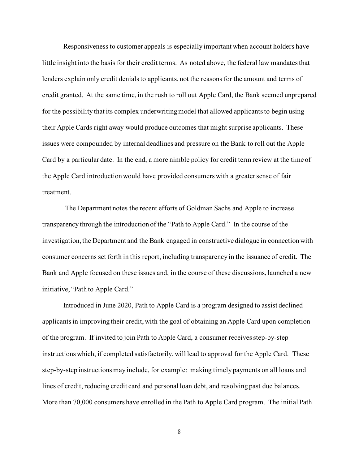Responsiveness to customer appeals is especially important when account holders have little insight into the basis for their credit terms. As noted above, the federal law mandates that lenders explain only credit denials to applicants, not the reasons for the amount and terms of credit granted. At the same time, in the rush to roll out Apple Card, the Bank seemed unprepared for the possibility that its complex underwriting model that allowed applicants to begin using their Apple Cards right away would produce outcomes that might surprise applicants. These issues were compounded by internal deadlines and pressure on the Bank to roll out the Apple Card by a particular date. In the end, a more nimble policy for credit term review at the time of the Apple Card introduction would have provided consumers with a greater sense of fair treatment.

The Department notes the recent efforts of Goldman Sachs and Apple to increase transparency through the introduction of the "Path to Apple Card." In the course of the investigation, the Department and the Bank engaged in constructive dialogue in connection with consumer concerns set forth in this report, including transparency in the issuance of credit. The Bank and Apple focused on these issues and, in the course of these discussions, launched a new initiative, "Path to Apple Card."

Introduced in June 2020, Path to Apple Card is a program designed to assist declined applicants in improving their credit, with the goal of obtaining an Apple Card upon completion of the program. If invited to join Path to Apple Card, a consumer receives step-by-step instructions which, if completed satisfactorily, will lead to approval for the Apple Card. These step-by-step instructions may include, for example: making timely payments on all loans and lines of credit, reducing credit card and personal loan debt, and resolving past due balances. More than 70,000 consumers have enrolled in the Path to Apple Card program. The initial Path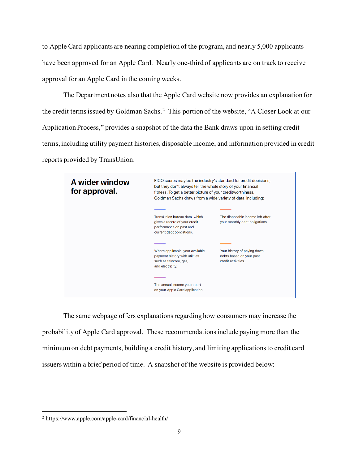to Apple Card applicants are nearing completion of the program, and nearly 5,000 applicants have been approved for an Apple Card. Nearly one-third of applicants are on track to receive approval for an Apple Card in the coming weeks.

The Department notes also that the Apple Card website now provides an explanation for the credit terms issued by Goldman Sachs.<sup>[2](#page-9-0)</sup> This portion of the website, "A Closer Look at our Application Process," provides a snapshot of the data the Bank draws upon in setting credit terms, including utility payment histories, disposable income, and information provided in credit reports provided by TransUnion:



The same webpage offers explanations regarding how consumers may increase the probability of Apple Card approval. These recommendations include paying more than the minimum on debt payments, building a credit history, and limiting applications to credit card issuers within a brief period of time. A snapshot of the website is provided below:

<span id="page-9-0"></span><sup>2</sup> https://www.apple.com/apple-card/financial-health/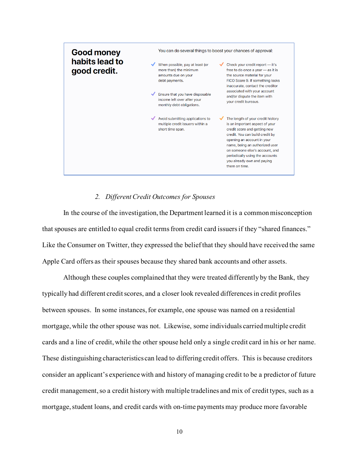

# *2. Different Credit Outcomes for Spouses*

In the course of the investigation, the Department learned it is a common misconception that spouses are entitled to equal credit terms from credit card issuers if they "shared finances." Like the Consumer on Twitter, they expressed the belief that they should have received the same Apple Card offers as their spouses because they shared bank accounts and other assets.

Although these couples complained that they were treated differently by the Bank, they typically had different credit scores, and a closer look revealed differences in credit profiles between spouses. In some instances, for example, one spouse was named on a residential mortgage, while the other spouse was not. Likewise, some individuals carried multiple credit cards and a line of credit, while the other spouse held only a single credit card in his or her name. These distinguishing characteristics can lead to differing credit offers. This is because creditors consider an applicant's experience with and history of managing credit to be a predictor of future credit management, so a credit history with multiple tradelines and mix of credit types, such as a mortgage, student loans, and credit cards with on-time payments may produce more favorable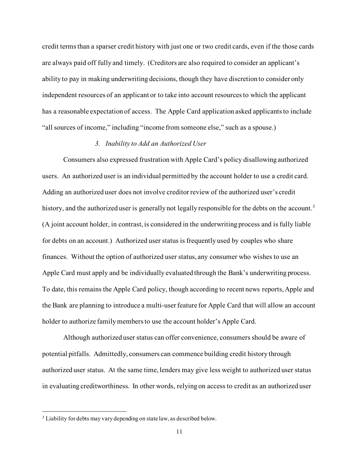credit terms than a sparser credit history with just one or two credit cards, even if the those cards are always paid off fully and timely. (Creditors are also required to consider an applicant's ability to pay in making underwriting decisions, though they have discretion to consider only independent resources of an applicant or to take into account resources to which the applicant has a reasonable expectation of access. The Apple Card application asked applicants to include "all sources of income," including "income from someone else," such as a spouse.)

# *3. Inability to Add an Authorized User*

Consumers also expressed frustration with Apple Card's policy disallowing authorized users. An authorized user is an individual permitted by the account holder to use a credit card. Adding an authorized user does not involve creditor review of the authorized user's credit history, and the authorized user is generally not legally responsible for the debts on the account.<sup>[3](#page-11-0)</sup> (A joint account holder, in contrast, is considered in the underwriting process and is fully liable for debts on an account.) Authorized user status is frequently used by couples who share finances. Without the option of authorized user status, any consumer who wishes to use an Apple Card must apply and be individually evaluated through the Bank's underwriting process. To date, this remains the Apple Card policy, though according to recent news reports, Apple and the Bank are planning to introduce a multi-user feature for Apple Card that will allow an account holder to authorize family members to use the account holder's Apple Card.

Although authorized user status can offer convenience, consumers should be aware of potential pitfalls. Admittedly, consumers can commence building credit history through authorized user status. At the same time, lenders may give less weight to authorized user status in evaluating creditworthiness. In other words, relying on access to credit as an authorized user

<span id="page-11-0"></span><sup>&</sup>lt;sup>3</sup> Liability for debts may vary depending on state law, as described below.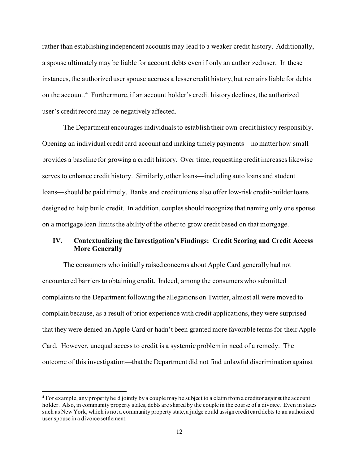rather than establishing independent accounts may lead to a weaker credit history. Additionally, a spouse ultimately may be liable for account debts even if only an authorized user. In these instances, the authorized user spouse accrues a lesser credit history, but remains liable for debts on the account. [4](#page-12-0) Furthermore, if an account holder's credit history declines, the authorized user's credit record may be negatively affected.

The Department encourages individuals to establish their own credit history responsibly. Opening an individual credit card account and making timely payments—no matter how small provides a baseline for growing a credit history. Over time, requesting credit increases likewise serves to enhance credit history. Similarly, other loans—including auto loans and student loans—should be paid timely. Banks and credit unions also offer low-risk credit-builder loans designed to help build credit. In addition, couples should recognize that naming only one spouse on a mortgage loan limits the ability of the other to grow credit based on that mortgage.

# **IV. Contextualizing the Investigation's Findings: Credit Scoring and Credit Access More Generally**

The consumers who initially raised concerns about Apple Card generally had not encountered barriers to obtaining credit. Indeed, among the consumers who submitted complaints to the Department following the allegations on Twitter, almost all were moved to complain because, as a result of prior experience with credit applications, they were surprised that they were denied an Apple Card or hadn't been granted more favorable terms for their Apple Card. However, unequal access to credit is a systemic problem in need of a remedy. The outcome of this investigation—that the Department did not find unlawful discrimination against

<span id="page-12-0"></span><sup>4</sup> For example, any property held jointly by a couple may be subject to a claim from a creditor against the account holder. Also, in community property states, debts are shared by the couple in the course of a divorce. Even in states such as New York, which is not a community property state, a judge could assign credit card debts to an authorized user spouse in a divorce settlement.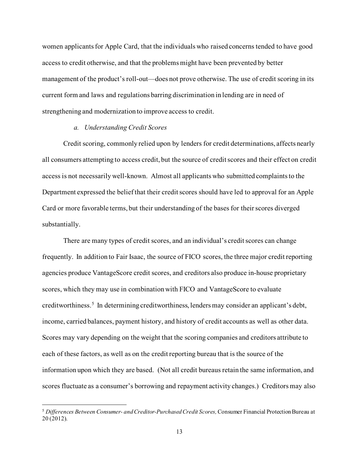women applicants for Apple Card, that the individuals who raised concerns tended to have good access to credit otherwise, and that the problems might have been prevented by better management of the product's roll-out—does not prove otherwise. The use of credit scoring in its current form and laws and regulations barring discrimination in lending are in need of strengthening and modernization to improve access to credit.

### *a. Understanding Credit Scores*

Credit scoring, commonly relied upon by lenders for credit determinations, affects nearly all consumers attempting to access credit, but the source of credit scores and their effect on credit access is not necessarily well-known. Almost all applicants who submitted complaints to the Department expressed the belief that their credit scores should have led to approval for an Apple Card or more favorable terms, but their understanding of the bases for their scores diverged substantially.

There are many types of credit scores, and an individual's credit scores can change frequently. In addition to Fair Isaac, the source of FICO scores, the three major credit reporting agencies produce VantageScore credit scores, and creditors also produce in-house proprietary scores, which they may use in combination with FICO and VantageScore to evaluate creditworthiness.<sup>[5](#page-13-0)</sup> In determining creditworthiness, lenders may consider an applicant's debt, income, carried balances, payment history, and history of credit accounts as well as other data. Scores may vary depending on the weight that the scoring companies and creditors attribute to each of these factors, as well as on the credit reporting bureau that is the source of the information upon which they are based. (Not all credit bureaus retain the same information, and scores fluctuate as a consumer's borrowing and repayment activity changes.) Creditors may also

<span id="page-13-0"></span><sup>5</sup> *Differences Between Consumer- and Creditor-Purchased Credit Scores,*Consumer Financial Protection Bureau at 20 (2012).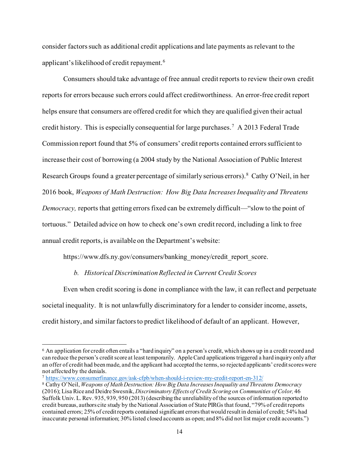consider factors such as additional credit applications and late payments as relevant to the applicant's likelihood of credit repayment.<sup>[6](#page-14-0)</sup>

Consumers should take advantage of free annual credit reports to review their own credit reports for errors because such errors could affect creditworthiness. An error-free credit report helps ensure that consumers are offered credit for which they are qualified given their actual credit history. This is especially consequential for large purchases.[7](#page-14-1) A 2013 Federal Trade Commission report found that 5% of consumers' credit reports contained errors sufficient to increase their cost of borrowing (a 2004 study by the National Association of Public Interest Research Groups found a greater percentage of similarly serious errors). [8](#page-14-2) Cathy O'Neil, in her 2016 book, *Weapons of Math Destruction: How Big Data Increases Inequality and Threatens Democracy, reports that getting errors fixed can be extremely difficult—"slow to the point of* tortuous." Detailed advice on how to check one's own credit record, including a link to free annual credit reports, is available on the Department's website:

https://www.dfs.ny.gov/consumers/banking\_money/credit\_report\_score.

#### *b. Historical Discrimination Reflected in Current Credit Scores*

Even when credit scoring is done in compliance with the law, it can reflect and perpetuate societal inequality. It is not unlawfully discriminatory for a lender to consider income, assets, credit history, and similar factors to predict likelihood of default of an applicant. However,

<span id="page-14-0"></span><sup>6</sup> An application for credit often entails a "hard inquiry" on a person's credit, which shows up in a credit record and can reduce the person's credit score at least temporarily. Apple Card applications triggered a hard inquiry only after an offer of credit had been made, and the applicant had accepted the terms, so rejected applicants' credit scores were not affected by the denials.

<span id="page-14-1"></span><sup>7</sup> <https://www.consumerfinance.gov/ask-cfpb/when-should-i-review-my-credit-report-en-312/>

<span id="page-14-2"></span><sup>8</sup> Cathy O'Neil, *Weapons of Math Destruction: How Big Data Increases Inequality and Threatens Democracy*  (2016); Lisa Rice and Deidre Swesnik, *Discriminatory Effects of Credit Scoring on Communities of Color,* 46 Suffolk Univ. L. Rev. 935, 939, 950 (2013) (describing the unreliability of the sources of information reported to credit bureaus, authors cite study by the National Association of State PIRGs that found, "79% of credit reports contained errors; 25% of credit reports contained significant errors that would result in denial of credit; 54% had inaccurate personal information; 30% listed closed accounts as open; and 8% did not list major credit accounts.")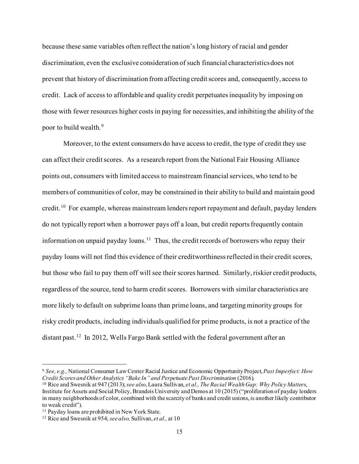because these same variables often reflect the nation's long history of racial and gender discrimination, even the exclusive consideration of such financial characteristics does not prevent that history of discrimination from affecting credit scores and, consequently, access to credit. Lack of access to affordable and quality credit perpetuates inequality by imposing on those with fewer resources higher costs in paying for necessities, and inhibiting the ability of the poor to build wealth.<sup>[9](#page-15-0)</sup>

Moreover, to the extent consumers do have access to credit, the type of credit they use can affect their credit scores. As a research report from the National Fair Housing Alliance points out, consumers with limited access to mainstream financial services, who tend to be members of communities of color, may be constrained in their ability to build and maintain good credit.<sup>[10](#page-15-1)</sup> For example, whereas mainstream lenders report repayment and default, payday lenders do not typically report when a borrower pays off a loan, but credit reports frequently contain information on unpaid payday loans.<sup>[11](#page-15-2)</sup> Thus, the credit records of borrowers who repay their payday loans will not find this evidence of their creditworthiness reflected in their credit scores, but those who fail to pay them off will see their scores harmed. Similarly, riskier credit products, regardless of the source, tend to harm credit scores. Borrowers with similar characteristics are more likely to default on subprime loans than prime loans, and targeting minority groups for risky credit products, including individuals qualified for prime products, is not a practice of the distant past.<sup>12</sup> In 2012, Wells Fargo Bank settled with the federal government after an

<span id="page-15-0"></span><sup>9</sup> *See, e.g.,* National Consumer Law Center Racial Justice and Economic Opportunity Project, *Past Imperfect: How Credit Scores and Other Analytics "Bake In" and Perpetuate Past Discrimination* (2016)*,*

<span id="page-15-1"></span><sup>10</sup> Rice and Swesnik at 947 (2013); *see also*, Laura Sullivan, *et al., The Racial Wealth Gap: Why Policy Matters*, Institute for Assets and Social Policy, Brandeis University and Demos at 10 (2015) ("proliferation of payday lenders in many neighborhoods of color, combined with the scarcity of banks and credit unions, is another likely contributor to weak credit").

<span id="page-15-2"></span><sup>&</sup>lt;sup>11</sup> Payday loans are prohibited in New York State.

<span id="page-15-3"></span><sup>12</sup> Rice and Swesnik at 954; *see also,* Sullivan, *et al.,* at 10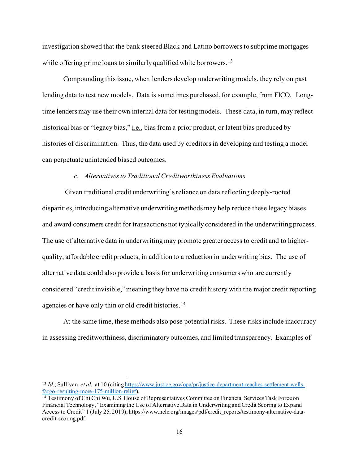investigation showed that the bank steered Black and Latino borrowers to subprime mortgages while offering prime loans to similarly qualified white borrowers.<sup>[13](#page-16-0)</sup>

Compounding this issue, when lenders develop underwriting models, they rely on past lending data to test new models. Data is sometimes purchased, for example, from FICO. Longtime lenders may use their own internal data for testing models. These data, in turn, may reflect historical bias or "legacy bias," *i.e.*, bias from a prior product, or latent bias produced by histories of discrimination. Thus, the data used by creditors in developing and testing a model can perpetuate unintended biased outcomes.

### *c. Alternatives to Traditional Creditworthiness Evaluations*

Given traditional credit underwriting's reliance on data reflecting deeply-rooted disparities, introducing alternative underwriting methods may help reduce these legacy biases and award consumers credit for transactions not typically considered in the underwriting process. The use of alternative data in underwriting may promote greater access to credit and to higherquality, affordable credit products, in addition to a reduction in underwriting bias. The use of alternative data could also provide a basis for underwriting consumers who are currently considered "credit invisible," meaning they have no credit history with the major credit reporting agencies or have only thin or old credit histories.<sup>[14](#page-16-1)</sup>

At the same time, these methods also pose potential risks. These risks include inaccuracy in assessing creditworthiness, discriminatory outcomes, and limited transparency. Examples of

<span id="page-16-0"></span><sup>13</sup> *Id.*; Sullivan, *et al.,* at 10 (citin[g https://www.justice.gov/opa/pr/justice-department-reaches-settlement-wells](https://www.justice.gov/opa/pr/justice-department-reaches-settlement-wells-fargo-resulting-more-175-million-relief)[fargo-resulting-more-175-million-relief\)](https://www.justice.gov/opa/pr/justice-department-reaches-settlement-wells-fargo-resulting-more-175-million-relief).

<span id="page-16-1"></span><sup>&</sup>lt;sup>14</sup> Testimony of Chi Chi Wu, U.S. House of Representatives Committee on Financial Services Task Force on Financial Technology, "Examining the Use of Alternative Data in Underwriting and Credit Scoring to Expand Access to Credit" 1 (July 25, 2019), https://www.nclc.org/images/pdf/credit\_reports/testimony-alternative-datacredit-scoring.pdf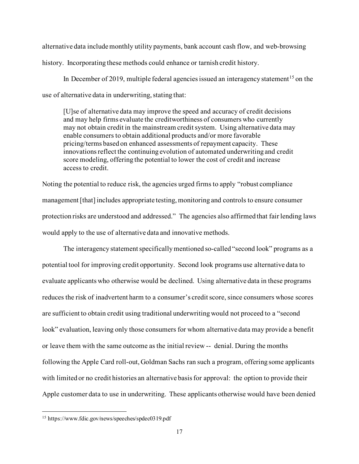alternative data include monthly utility payments, bank account cash flow, and web-browsing history. Incorporating these methods could enhance or tarnish credit history.

In December of 2019, multiple federal agencies issued an interagency statement<sup>[15](#page-17-0)</sup> on the use of alternative data in underwriting, stating that:

[U]se of alternative data may improve the speed and accuracy of credit decisions and may help firms evaluate the creditworthiness of consumers who currently may not obtain credit in the mainstream credit system. Using alternative data may enable consumers to obtain additional products and/or more favorable pricing/terms based on enhanced assessments of repayment capacity. These innovations reflect the continuing evolution of automated underwriting and credit score modeling, offering the potential to lower the cost of credit and increase access to credit.

Noting the potential to reduce risk, the agencies urged firms to apply "robust compliance management [that] includes appropriate testing, monitoring and controls to ensure consumer protection risks are understood and addressed." The agencies also affirmed that fair lending laws would apply to the use of alternative data and innovative methods.

The interagency statement specifically mentioned so-called "second look" programs as a potential tool for improving credit opportunity. Second look programs use alternative data to evaluate applicants who otherwise would be declined. Using alternative data in these programs reduces the risk of inadvertent harm to a consumer's credit score, since consumers whose scores are sufficient to obtain credit using traditional underwriting would not proceed to a "second look" evaluation, leaving only those consumers for whom alternative data may provide a benefit or leave them with the same outcome as the initial review -- denial. During the months following the Apple Card roll-out, Goldman Sachs ran such a program, offering some applicants with limited or no credit histories an alternative basis for approval: the option to provide their Apple customer data to use in underwriting. These applicants otherwise would have been denied

<span id="page-17-0"></span><sup>15</sup> https://www.fdic.gov/news/speeches/spdec0319.pdf